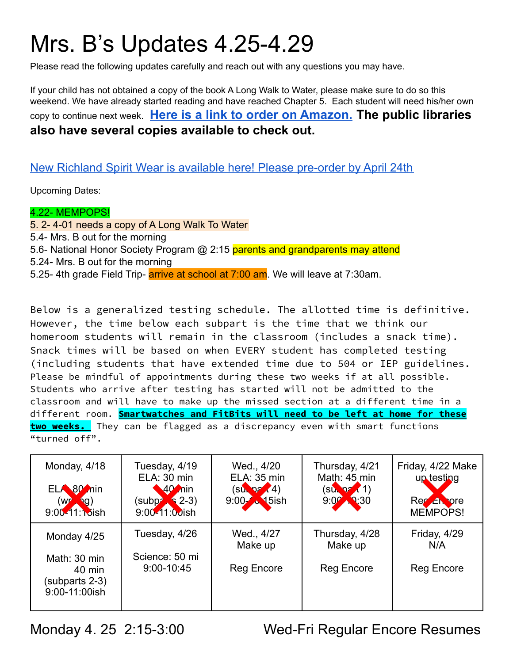# Mrs. B's Updates 4.25-4.29

Please read the following updates carefully and reach out with any questions you may have.

If your child has not obtained a copy of the book A Long Walk to Water, please make sure to do so this weekend. We have already started reading and have reached Chapter 5. Each student will need his/her own copy to continue next week. **[Here is a link to order](https://www.amazon.com/Long-Walk-Water-Based-Story/dp/0547577311/ref=sr_1_1?crid=1AX3S7CBGRAUM&keywords=a+long+walk+to+water&qid=1648759538&sprefix=A+Long+Walk+%2Caps%2C120&sr=8-1) on Amazon. The public libraries also have several copies available to check out.**

#### New Richland Spirit Wear is available here! Please [pre-order](https://stores.inksoft.com/richland_elem/shop/home) by April 24th

Upcoming Dates:

#### 4.22- MEMPOPS!

5. 2- 4-01 needs a copy of A Long Walk To Water 5.4- Mrs. B out for the morning 5.6- National Honor Society Program @ 2:15 parents and grandparents may attend 5.24- Mrs. B out for the morning 5.25- 4th grade Field Trip- **arrive at school at 7:00 am**. We will leave at 7:30am.

Below is a generalized testing schedule. The allotted time is definitive. However, the time below each subpart is the time that we think our homeroom students will remain in the classroom (includes a snack time). Snack times will be based on when EVERY student has completed testing (including students that have extended time due to 504 or IEP guidelines. Please be mindful of appointments during these two weeks if at all possible. Students who arrive after testing has started will not be admitted to the classroom and will have to make up the missed section at a different time in a different room. **Smartwatches and FitBits will need to be left at home for these two weeks.** They can be flagged as a discrepancy even with smart functions "turned off".

| Monday, 4/18<br>ELA 80 nin<br>$(w_1, w_2)$<br>9:00-11:15ish | Tuesday, 4/19<br>ELA: 30 min<br>40 nin<br>$(supp^2, 2-3)$<br>9:00-11:00ish | Wed., 4/20<br>ELA: 35 min<br>(SU <sub>k</sub> 27 (4))<br>9.00 <b>A</b> 15ish | Thursday, 4/21<br>Math: 45 min<br>$(SU_1 P7(1))$<br>$9.07 - 30$ | Friday, 4/22 Make<br>up testing<br>Rec En ore<br>MEMPOPS! |
|-------------------------------------------------------------|----------------------------------------------------------------------------|------------------------------------------------------------------------------|-----------------------------------------------------------------|-----------------------------------------------------------|
| Monday 4/25<br>Math: 30 min<br>40 min                       | Tuesday, 4/26<br>Science: 50 mi<br>9:00-10:45                              | Wed., 4/27<br>Make up<br><b>Reg Encore</b>                                   | Thursday, 4/28<br>Make up<br>Reg Encore                         | Friday, 4/29<br>N/A<br>Reg Encore                         |
| (subparts 2-3)<br>9:00-11:00ish                             |                                                                            |                                                                              |                                                                 |                                                           |

Monday 4. 25 2:15-3:00 Wed-Fri Regular Encore Resumes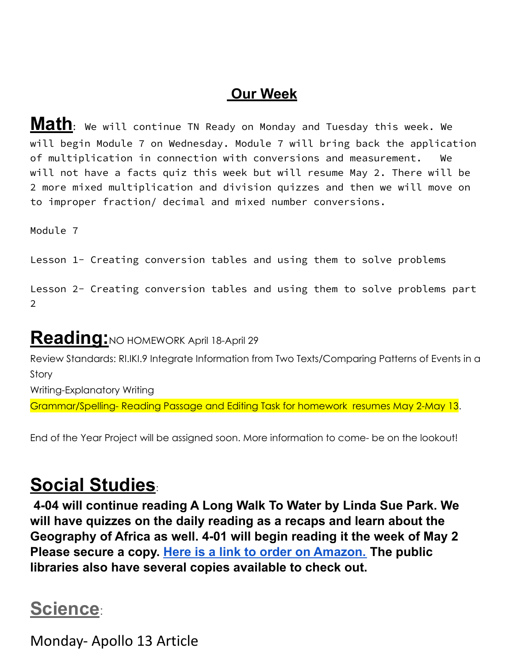### **Our Week**

**Math:** We will continue TN Ready on Monday and Tuesday this week. We will begin Module 7 on Wednesday. Module 7 will bring back the application of multiplication in connection with conversions and measurement. We will not have a facts quiz this week but will resume May 2. There will be 2 more mixed multiplication and division quizzes and then we will move on to improper fraction/ decimal and mixed number conversions.

Module 7

Lesson 1- Creating conversion tables and using them to solve problems

Lesson 2- Creating conversion tables and using them to solve problems part 2

## **Reading:**NO HOMEWORK April 18-April 29

Review Standards: RI.IKI.9 Integrate Information from Two Texts/Comparing Patterns of Events in a Story

Writing-Explanatory Writing

Grammar/Spelling- Reading Passage and Editing Task for homework resumes May 2-May 13.

End of the Year Project will be assigned soon. More information to come- be on the lookout!

# **Social Studies**:

**4-04 will continue reading A Long Walk To Water by Linda Sue Park. We will have quizzes on the daily reading as a recaps and learn about the Geography of Africa as well. 4-01 will begin reading it the week of May 2 Please secure a copy. [Here is a link to order on Amazon.](https://www.amazon.com/Long-Walk-Water-Based-Story/dp/0547577311/ref=sr_1_1?crid=1AX3S7CBGRAUM&keywords=a+long+walk+to+water&qid=1648759538&sprefix=A+Long+Walk+%2Caps%2C120&sr=8-1) The public libraries also have several copies available to check out.**

## **Science**:

Monday- Apollo 13 Article